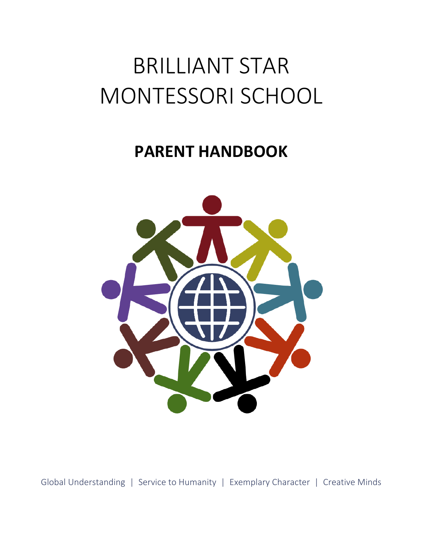# BRILLIANT STAR MONTESSORI SCHOOL

## **PARENT HANDBOOK**



Global Understanding | Service to Humanity | Exemplary Character | Creative Minds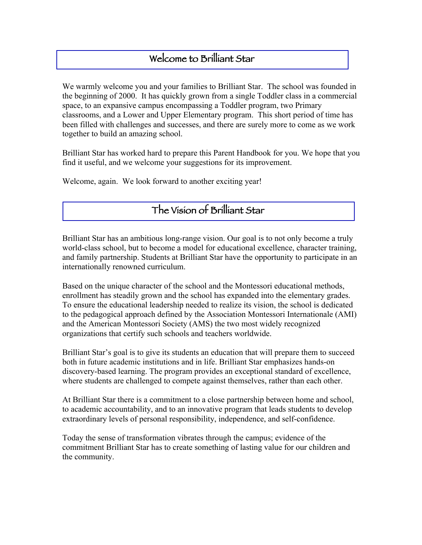### Welcome to Brilliant Star

We warmly welcome you and your families to Brilliant Star. The school was founded in the beginning of 2000. It has quickly grown from a single Toddler class in a commercial space, to an expansive campus encompassing a Toddler program, two Primary classrooms, and a Lower and Upper Elementary program. This short period of time has been filled with challenges and successes, and there are surely more to come as we work together to build an amazing school.

Brilliant Star has worked hard to prepare this Parent Handbook for you. We hope that you find it useful, and we welcome your suggestions for its improvement.

Welcome, again. We look forward to another exciting year!

### The Vision of Brilliant Star

Brilliant Star has an ambitious long-range vision. Our goal is to not only become a truly world-class school, but to become a model for educational excellence, character training, and family partnership. Students at Brilliant Star have the opportunity to participate in an internationally renowned curriculum.

Based on the unique character of the school and the Montessori educational methods, enrollment has steadily grown and the school has expanded into the elementary grades. To ensure the educational leadership needed to realize its vision, the school is dedicated to the pedagogical approach defined by the Association Montessori Internationale (AMI) and the American Montessori Society (AMS) the two most widely recognized organizations that certify such schools and teachers worldwide.

Brilliant Star's goal is to give its students an education that will prepare them to succeed both in future academic institutions and in life. Brilliant Star emphasizes hands-on discovery-based learning. The program provides an exceptional standard of excellence, where students are challenged to compete against themselves, rather than each other.

At Brilliant Star there is a commitment to a close partnership between home and school, to academic accountability, and to an innovative program that leads students to develop extraordinary levels of personal responsibility, independence, and self-confidence.

Today the sense of transformation vibrates through the campus; evidence of the commitment Brilliant Star has to create something of lasting value for our children and the community.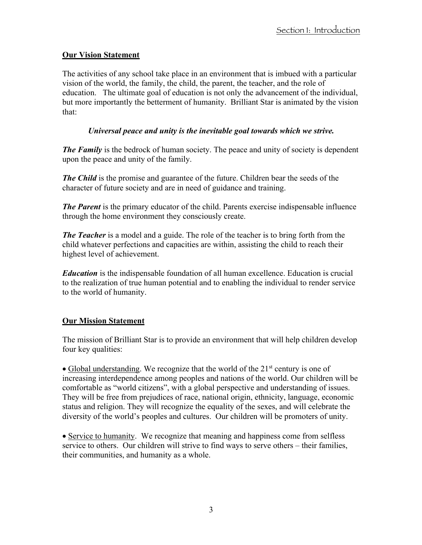#### **Our Vision Statement**

The activities of any school take place in an environment that is imbued with a particular vision of the world, the family, the child, the parent, the teacher, and the role of education. The ultimate goal of education is not only the advancement of the individual, but more importantly the betterment of humanity. Brilliant Star is animated by the vision that:

#### *Universal peace and unity is the inevitable goal towards which we strive.*

*The Family* is the bedrock of human society. The peace and unity of society is dependent upon the peace and unity of the family.

*The Child* is the promise and guarantee of the future. Children bear the seeds of the character of future society and are in need of guidance and training.

*The Parent* is the primary educator of the child. Parents exercise indispensable influence through the home environment they consciously create.

*The Teacher* is a model and a guide. The role of the teacher is to bring forth from the child whatever perfections and capacities are within, assisting the child to reach their highest level of achievement.

*Education* is the indispensable foundation of all human excellence. Education is crucial to the realization of true human potential and to enabling the individual to render service to the world of humanity.

#### **Our Mission Statement**

The mission of Brilliant Star is to provide an environment that will help children develop four key qualities:

• Global understanding. We recognize that the world of the  $21<sup>st</sup>$  century is one of increasing interdependence among peoples and nations of the world. Our children will be comfortable as "world citizens", with a global perspective and understanding of issues. They will be free from prejudices of race, national origin, ethnicity, language, economic status and religion. They will recognize the equality of the sexes, and will celebrate the diversity of the world's peoples and cultures. Our children will be promoters of unity.

• Service to humanity. We recognize that meaning and happiness come from selfless service to others. Our children will strive to find ways to serve others – their families, their communities, and humanity as a whole.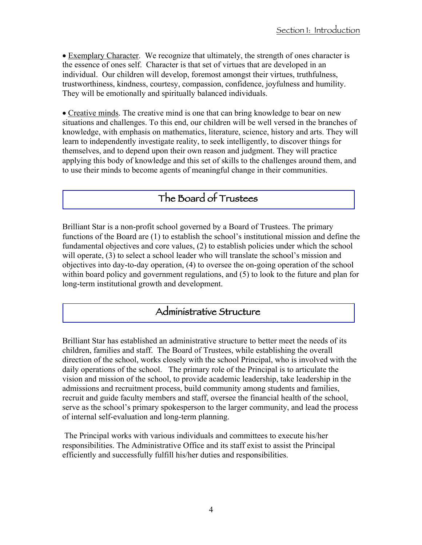• Exemplary Character. We recognize that ultimately, the strength of ones character is the essence of ones self. Character is that set of virtues that are developed in an individual. Our children will develop, foremost amongst their virtues, truthfulness, trustworthiness, kindness, courtesy, compassion, confidence, joyfulness and humility. They will be emotionally and spiritually balanced individuals.

• Creative minds. The creative mind is one that can bring knowledge to bear on new situations and challenges. To this end, our children will be well versed in the branches of knowledge, with emphasis on mathematics, literature, science, history and arts. They will learn to independently investigate reality, to seek intelligently, to discover things for themselves, and to depend upon their own reason and judgment. They will practice applying this body of knowledge and this set of skills to the challenges around them, and to use their minds to become agents of meaningful change in their communities.

### The Board of Trustees

Brilliant Star is a non-profit school governed by a Board of Trustees. The primary functions of the Board are (1) to establish the school's institutional mission and define the fundamental objectives and core values, (2) to establish policies under which the school will operate, (3) to select a school leader who will translate the school's mission and objectives into day-to-day operation, (4) to oversee the on-going operation of the school within board policy and government regulations, and (5) to look to the future and plan for long-term institutional growth and development.

#### Administrative Structure

Brilliant Star has established an administrative structure to better meet the needs of its children, families and staff. The Board of Trustees, while establishing the overall direction of the school, works closely with the school Principal, who is involved with the daily operations of the school. The primary role of the Principal is to articulate the vision and mission of the school, to provide academic leadership, take leadership in the admissions and recruitment process, build community among students and families, recruit and guide faculty members and staff, oversee the financial health of the school, serve as the school's primary spokesperson to the larger community, and lead the process of internal self-evaluation and long-term planning.

The Principal works with various individuals and committees to execute his/her responsibilities. The Administrative Office and its staff exist to assist the Principal efficiently and successfully fulfill his/her duties and responsibilities.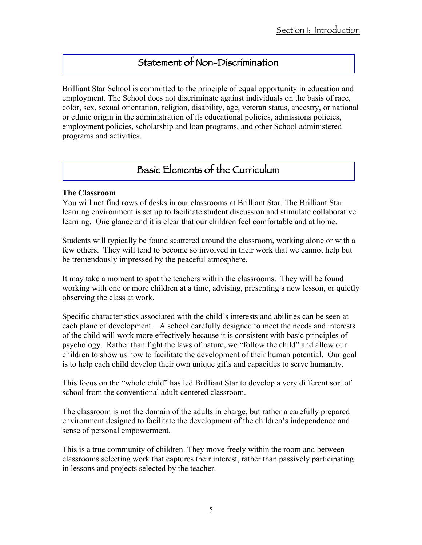### Statement of Non-Discrimination

Brilliant Star School is committed to the principle of equal opportunity in education and employment. The School does not discriminate against individuals on the basis of race, color, sex, sexual orientation, religion, disability, age, veteran status, ancestry, or national or ethnic origin in the administration of its educational policies, admissions policies, employment policies, scholarship and loan programs, and other School administered programs and activities.

### Basic Elements of the Curriculum

#### **The Classroom**

You will not find rows of desks in our classrooms at Brilliant Star. The Brilliant Star learning environment is set up to facilitate student discussion and stimulate collaborative learning. One glance and it is clear that our children feel comfortable and at home.

Students will typically be found scattered around the classroom, working alone or with a few others. They will tend to become so involved in their work that we cannot help but be tremendously impressed by the peaceful atmosphere.

It may take a moment to spot the teachers within the classrooms. They will be found working with one or more children at a time, advising, presenting a new lesson, or quietly observing the class at work.

Specific characteristics associated with the child's interests and abilities can be seen at each plane of development. A school carefully designed to meet the needs and interests of the child will work more effectively because it is consistent with basic principles of psychology. Rather than fight the laws of nature, we "follow the child" and allow our children to show us how to facilitate the development of their human potential. Our goal is to help each child develop their own unique gifts and capacities to serve humanity.

This focus on the "whole child" has led Brilliant Star to develop a very different sort of school from the conventional adult-centered classroom.

The classroom is not the domain of the adults in charge, but rather a carefully prepared environment designed to facilitate the development of the children's independence and sense of personal empowerment.

This is a true community of children. They move freely within the room and between classrooms selecting work that captures their interest, rather than passively participating in lessons and projects selected by the teacher.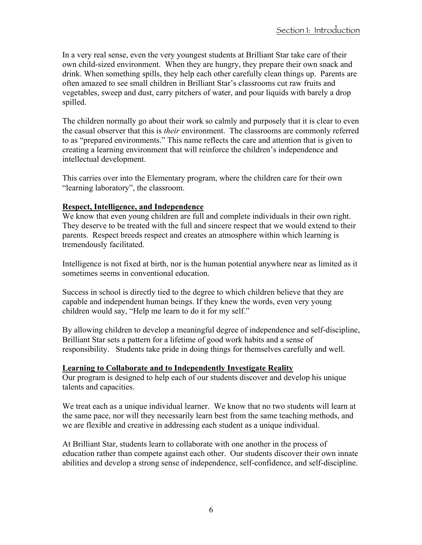In a very real sense, even the very youngest students at Brilliant Star take care of their own child-sized environment. When they are hungry, they prepare their own snack and drink. When something spills, they help each other carefully clean things up. Parents are often amazed to see small children in Brilliant Star's classrooms cut raw fruits and vegetables, sweep and dust, carry pitchers of water, and pour liquids with barely a drop spilled.

The children normally go about their work so calmly and purposely that it is clear to even the casual observer that this is *their* environment. The classrooms are commonly referred to as "prepared environments." This name reflects the care and attention that is given to creating a learning environment that will reinforce the children's independence and intellectual development.

This carries over into the Elementary program, where the children care for their own "learning laboratory", the classroom.

#### **Respect, Intelligence, and Independence**

We know that even young children are full and complete individuals in their own right. They deserve to be treated with the full and sincere respect that we would extend to their parents. Respect breeds respect and creates an atmosphere within which learning is tremendously facilitated.

Intelligence is not fixed at birth, nor is the human potential anywhere near as limited as it sometimes seems in conventional education.

Success in school is directly tied to the degree to which children believe that they are capable and independent human beings. If they knew the words, even very young children would say, "Help me learn to do it for my self."

By allowing children to develop a meaningful degree of independence and self-discipline, Brilliant Star sets a pattern for a lifetime of good work habits and a sense of responsibility. Students take pride in doing things for themselves carefully and well.

#### **Learning to Collaborate and to Independently Investigate Reality**

Our program is designed to help each of our students discover and develop his unique talents and capacities.

We treat each as a unique individual learner. We know that no two students will learn at the same pace, nor will they necessarily learn best from the same teaching methods, and we are flexible and creative in addressing each student as a unique individual.

At Brilliant Star, students learn to collaborate with one another in the process of education rather than compete against each other. Our students discover their own innate abilities and develop a strong sense of independence, self-confidence, and self-discipline.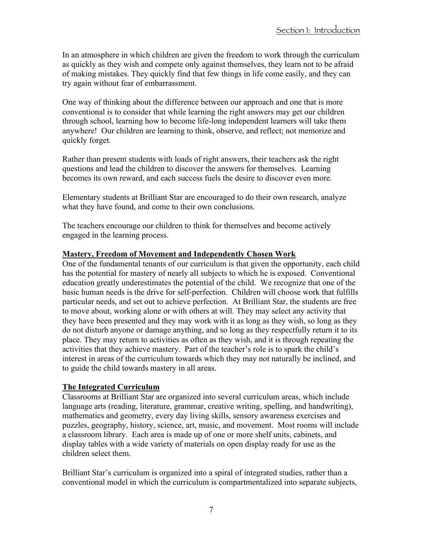In an atmosphere in which children are given the freedom to work through the curriculum as quickly as they wish and compete only against themselves, they learn not to be afraid of making mistakes. They quickly find that few things in life come easily, and they can try again without fear of embarrassment.

One way of thinking about the difference between our approach and one that is more conventional is to consider that while learning the right answers may get our children through school, learning how to become life-long independent learners will take them anywhere! Our children are learning to think, observe, and reflect; not memorize and quickly forget.

Rather than present students with loads of right answers, their teachers ask the right questions and lead the children to discover the answers for themselves. Learning becomes its own reward, and each success fuels the desire to discover even more.

Elementary students at Brilliant Star are encouraged to do their own research, analyze what they have found, and come to their own conclusions.

The teachers encourage our children to think for themselves and become actively engaged in the learning process.

#### **Mastery, Freedom of Movement and Independently Chosen Work**

One of the fundamental tenants of our curriculum is that given the opportunity, each child has the potential for mastery of nearly all subjects to which he is exposed. Conventional education greatly underestimates the potential of the child. We recognize that one of the basic human needs is the drive for self-perfection. Children will choose work that fulfills particular needs, and set out to achieve perfection. At Brilliant Star, the students are free to move about, working alone or with others at will. They may select any activity that they have been presented and they may work with it as long as they wish, so long as they do not disturb anyone or damage anything, and so long as they respectfully return it to its place. They may return to activities as often as they wish, and it is through repeating the activities that they achieve mastery. Part of the teacher's role is to spark the child's interest in areas of the curriculum towards which they may not naturally be inclined, and to guide the child towards mastery in all areas.

#### **The Integrated Curriculum**

Classrooms at Brilliant Star are organized into several curriculum areas, which include language arts (reading, literature, grammar, creative writing, spelling, and handwriting), mathematics and geometry, every day living skills, sensory awareness exercises and puzzles, geography, history, science, art, music, and movement. Most rooms will include a classroom library. Each area is made up of one or more shelf units, cabinets, and display tables with a wide variety of materials on open display ready for use as the children select them.

Brilliant Star's curriculum is organized into a spiral of integrated studies, rather than a conventional model in which the curriculum is compartmentalized into separate subjects,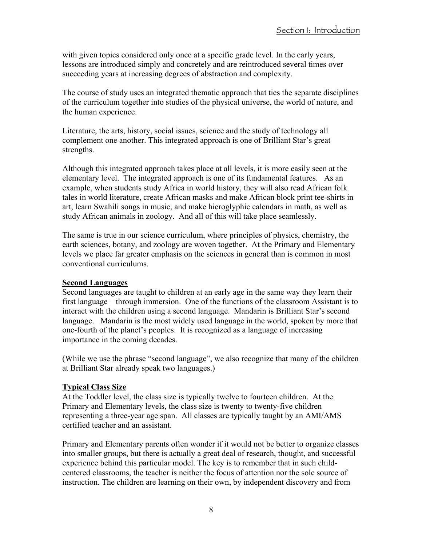with given topics considered only once at a specific grade level. In the early years, lessons are introduced simply and concretely and are reintroduced several times over succeeding years at increasing degrees of abstraction and complexity.

The course of study uses an integrated thematic approach that ties the separate disciplines of the curriculum together into studies of the physical universe, the world of nature, and the human experience.

Literature, the arts, history, social issues, science and the study of technology all complement one another. This integrated approach is one of Brilliant Star's great strengths.

Although this integrated approach takes place at all levels, it is more easily seen at the elementary level. The integrated approach is one of its fundamental features. As an example, when students study Africa in world history, they will also read African folk tales in world literature, create African masks and make African block print tee-shirts in art, learn Swahili songs in music, and make hieroglyphic calendars in math, as well as study African animals in zoology. And all of this will take place seamlessly.

The same is true in our science curriculum, where principles of physics, chemistry, the earth sciences, botany, and zoology are woven together. At the Primary and Elementary levels we place far greater emphasis on the sciences in general than is common in most conventional curriculums.

#### **Second Languages**

Second languages are taught to children at an early age in the same way they learn their first language – through immersion. One of the functions of the classroom Assistant is to interact with the children using a second language. Mandarin is Brilliant Star's second language. Mandarin is the most widely used language in the world, spoken by more that one-fourth of the planet's peoples. It is recognized as a language of increasing importance in the coming decades.

(While we use the phrase "second language", we also recognize that many of the children at Brilliant Star already speak two languages.)

#### **Typical Class Size**

At the Toddler level, the class size is typically twelve to fourteen children. At the Primary and Elementary levels, the class size is twenty to twenty-five children representing a three-year age span. All classes are typically taught by an AMI/AMS certified teacher and an assistant.

Primary and Elementary parents often wonder if it would not be better to organize classes into smaller groups, but there is actually a great deal of research, thought, and successful experience behind this particular model. The key is to remember that in such childcentered classrooms, the teacher is neither the focus of attention nor the sole source of instruction. The children are learning on their own, by independent discovery and from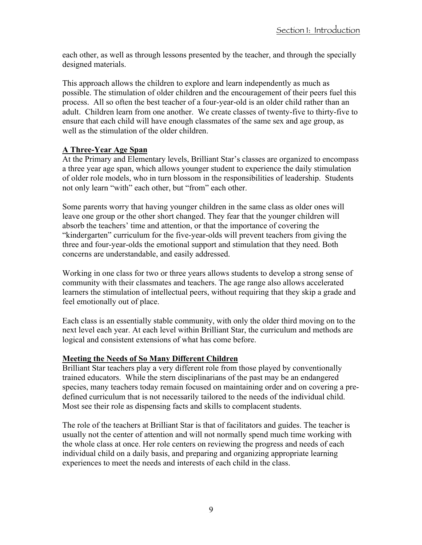each other, as well as through lessons presented by the teacher, and through the specially designed materials.

This approach allows the children to explore and learn independently as much as possible. The stimulation of older children and the encouragement of their peers fuel this process. All so often the best teacher of a four-year-old is an older child rather than an adult. Children learn from one another. We create classes of twenty-five to thirty-five to ensure that each child will have enough classmates of the same sex and age group, as well as the stimulation of the older children.

#### **A Three-Year Age Span**

At the Primary and Elementary levels, Brilliant Star's classes are organized to encompass a three year age span, which allows younger student to experience the daily stimulation of older role models, who in turn blossom in the responsibilities of leadership. Students not only learn "with" each other, but "from" each other.

Some parents worry that having younger children in the same class as older ones will leave one group or the other short changed. They fear that the younger children will absorb the teachers' time and attention, or that the importance of covering the "kindergarten" curriculum for the five-year-olds will prevent teachers from giving the three and four-year-olds the emotional support and stimulation that they need. Both concerns are understandable, and easily addressed.

Working in one class for two or three years allows students to develop a strong sense of community with their classmates and teachers. The age range also allows accelerated learners the stimulation of intellectual peers, without requiring that they skip a grade and feel emotionally out of place.

Each class is an essentially stable community, with only the older third moving on to the next level each year. At each level within Brilliant Star, the curriculum and methods are logical and consistent extensions of what has come before.

#### **Meeting the Needs of So Many Different Children**

Brilliant Star teachers play a very different role from those played by conventionally trained educators. While the stern disciplinarians of the past may be an endangered species, many teachers today remain focused on maintaining order and on covering a predefined curriculum that is not necessarily tailored to the needs of the individual child. Most see their role as dispensing facts and skills to complacent students.

The role of the teachers at Brilliant Star is that of facilitators and guides. The teacher is usually not the center of attention and will not normally spend much time working with the whole class at once. Her role centers on reviewing the progress and needs of each individual child on a daily basis, and preparing and organizing appropriate learning experiences to meet the needs and interests of each child in the class.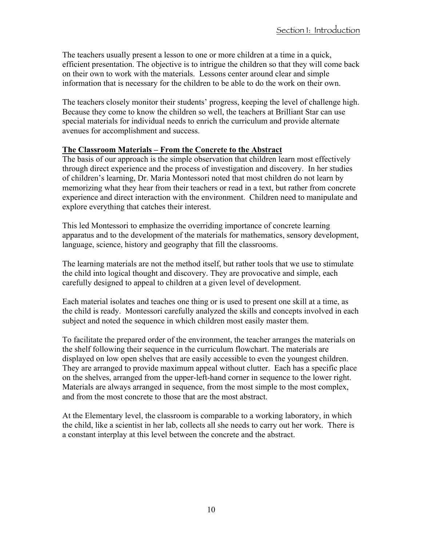The teachers usually present a lesson to one or more children at a time in a quick, efficient presentation. The objective is to intrigue the children so that they will come back on their own to work with the materials. Lessons center around clear and simple information that is necessary for the children to be able to do the work on their own.

The teachers closely monitor their students' progress, keeping the level of challenge high. Because they come to know the children so well, the teachers at Brilliant Star can use special materials for individual needs to enrich the curriculum and provide alternate avenues for accomplishment and success.

#### **The Classroom Materials – From the Concrete to the Abstract**

The basis of our approach is the simple observation that children learn most effectively through direct experience and the process of investigation and discovery. In her studies of children's learning, Dr. Maria Montessori noted that most children do not learn by memorizing what they hear from their teachers or read in a text, but rather from concrete experience and direct interaction with the environment. Children need to manipulate and explore everything that catches their interest.

This led Montessori to emphasize the overriding importance of concrete learning apparatus and to the development of the materials for mathematics, sensory development, language, science, history and geography that fill the classrooms.

The learning materials are not the method itself, but rather tools that we use to stimulate the child into logical thought and discovery. They are provocative and simple, each carefully designed to appeal to children at a given level of development.

Each material isolates and teaches one thing or is used to present one skill at a time, as the child is ready. Montessori carefully analyzed the skills and concepts involved in each subject and noted the sequence in which children most easily master them.

To facilitate the prepared order of the environment, the teacher arranges the materials on the shelf following their sequence in the curriculum flowchart. The materials are displayed on low open shelves that are easily accessible to even the youngest children. They are arranged to provide maximum appeal without clutter. Each has a specific place on the shelves, arranged from the upper-left-hand corner in sequence to the lower right. Materials are always arranged in sequence, from the most simple to the most complex, and from the most concrete to those that are the most abstract.

At the Elementary level, the classroom is comparable to a working laboratory, in which the child, like a scientist in her lab, collects all she needs to carry out her work. There is a constant interplay at this level between the concrete and the abstract.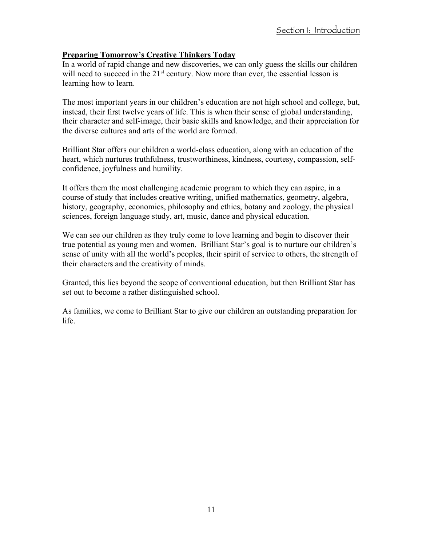#### **Preparing Tomorrow's Creative Thinkers Today**

In a world of rapid change and new discoveries, we can only guess the skills our children will need to succeed in the  $21<sup>st</sup>$  century. Now more than ever, the essential lesson is learning how to learn.

The most important years in our children's education are not high school and college, but, instead, their first twelve years of life. This is when their sense of global understanding, their character and self-image, their basic skills and knowledge, and their appreciation for the diverse cultures and arts of the world are formed.

Brilliant Star offers our children a world-class education, along with an education of the heart, which nurtures truthfulness, trustworthiness, kindness, courtesy, compassion, selfconfidence, joyfulness and humility.

It offers them the most challenging academic program to which they can aspire, in a course of study that includes creative writing, unified mathematics, geometry, algebra, history, geography, economics, philosophy and ethics, botany and zoology, the physical sciences, foreign language study, art, music, dance and physical education.

We can see our children as they truly come to love learning and begin to discover their true potential as young men and women. Brilliant Star's goal is to nurture our children's sense of unity with all the world's peoples, their spirit of service to others, the strength of their characters and the creativity of minds.

Granted, this lies beyond the scope of conventional education, but then Brilliant Star has set out to become a rather distinguished school.

As families, we come to Brilliant Star to give our children an outstanding preparation for life.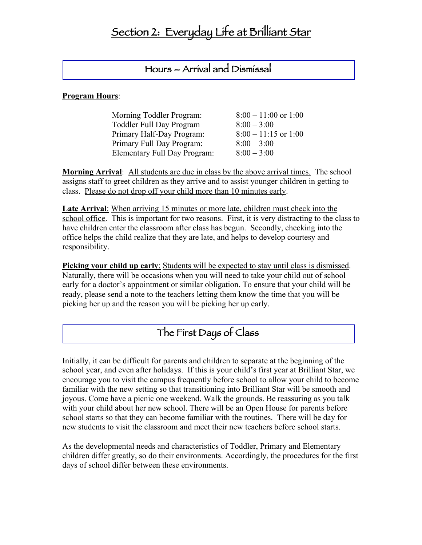### Hours – Arrival and Dismissal

#### **Program Hours**:

| $8:00 - 11:00$ or 1:00 |
|------------------------|
| $8:00 - 3:00$          |
| $8:00 - 11:15$ or 1:00 |
| $8:00 - 3:00$          |
| $8:00 - 3:00$          |
|                        |

**Morning Arrival**: All students are due in class by the above arrival times. The school assigns staff to greet children as they arrive and to assist younger children in getting to class. Please do not drop off your child more than 10 minutes early.

**Late Arrival**: When arriving 15 minutes or more late, children must check into the school office. This is important for two reasons. First, it is very distracting to the class to have children enter the classroom after class has begun. Secondly, checking into the office helps the child realize that they are late, and helps to develop courtesy and responsibility.

**Picking your child up early:** Students will be expected to stay until class is dismissed. Naturally, there will be occasions when you will need to take your child out of school early for a doctor's appointment or similar obligation. To ensure that your child will be ready, please send a note to the teachers letting them know the time that you will be picking her up and the reason you will be picking her up early.

### The First Days of Class

Initially, it can be difficult for parents and children to separate at the beginning of the school year, and even after holidays. If this is your child's first year at Brilliant Star, we encourage you to visit the campus frequently before school to allow your child to become familiar with the new setting so that transitioning into Brilliant Star will be smooth and joyous. Come have a picnic one weekend. Walk the grounds. Be reassuring as you talk with your child about her new school. There will be an Open House for parents before school starts so that they can become familiar with the routines. There will be day for new students to visit the classroom and meet their new teachers before school starts.

As the developmental needs and characteristics of Toddler, Primary and Elementary children differ greatly, so do their environments. Accordingly, the procedures for the first days of school differ between these environments.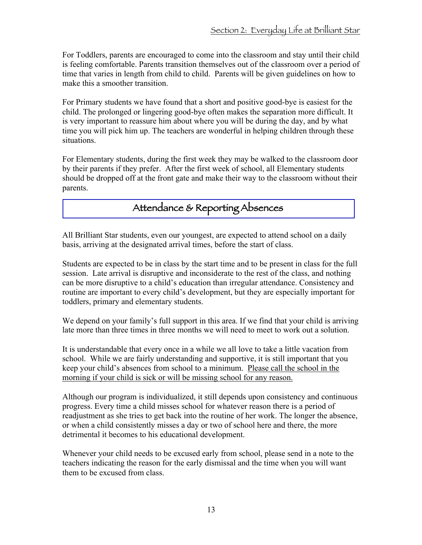For Toddlers, parents are encouraged to come into the classroom and stay until their child is feeling comfortable. Parents transition themselves out of the classroom over a period of time that varies in length from child to child. Parents will be given guidelines on how to make this a smoother transition.

For Primary students we have found that a short and positive good-bye is easiest for the child. The prolonged or lingering good-bye often makes the separation more difficult. It is very important to reassure him about where you will be during the day, and by what time you will pick him up. The teachers are wonderful in helping children through these situations.

For Elementary students, during the first week they may be walked to the classroom door by their parents if they prefer. After the first week of school, all Elementary students should be dropped off at the front gate and make their way to the classroom without their parents.

### Attendance & Reporting Absences

All Brilliant Star students, even our youngest, are expected to attend school on a daily basis, arriving at the designated arrival times, before the start of class.

Students are expected to be in class by the start time and to be present in class for the full session. Late arrival is disruptive and inconsiderate to the rest of the class, and nothing can be more disruptive to a child's education than irregular attendance. Consistency and routine are important to every child's development, but they are especially important for toddlers, primary and elementary students.

We depend on your family's full support in this area. If we find that your child is arriving late more than three times in three months we will need to meet to work out a solution.

It is understandable that every once in a while we all love to take a little vacation from school. While we are fairly understanding and supportive, it is still important that you keep your child's absences from school to a minimum. Please call the school in the morning if your child is sick or will be missing school for any reason.

Although our program is individualized, it still depends upon consistency and continuous progress. Every time a child misses school for whatever reason there is a period of readjustment as she tries to get back into the routine of her work. The longer the absence, or when a child consistently misses a day or two of school here and there, the more detrimental it becomes to his educational development.

Whenever your child needs to be excused early from school, please send in a note to the teachers indicating the reason for the early dismissal and the time when you will want them to be excused from class.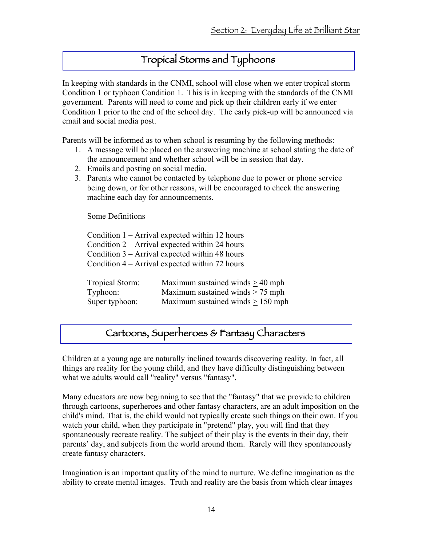### Tropical Storms and Typhoons

In keeping with standards in the CNMI, school will close when we enter tropical storm Condition 1 or typhoon Condition 1. This is in keeping with the standards of the CNMI government. Parents will need to come and pick up their children early if we enter Condition 1 prior to the end of the school day. The early pick-up will be announced via email and social media post.

Parents will be informed as to when school is resuming by the following methods:

- 1. A message will be placed on the answering machine at school stating the date of the announcement and whether school will be in session that day.
- 2. Emails and posting on social media.
- 3. Parents who cannot be contacted by telephone due to power or phone service being down, or for other reasons, will be encouraged to check the answering machine each day for announcements.

Some Definitions

|                 | Condition $1 -$ Arrival expected within 12 hours |
|-----------------|--------------------------------------------------|
|                 | Condition 2 – Arrival expected within 24 hours   |
|                 | Condition $3$ – Arrival expected within 48 hours |
|                 | Condition 4 – Arrival expected within 72 hours   |
|                 |                                                  |
| Tropical Storm: | Maximum sustained winds $\geq$ 40 mph            |
| Typhoon:        | Maximum sustained winds $> 75$ mph               |
| Super typhoon:  |                                                  |

### Cartoons, Superheroes & Fantasy Characters

Children at a young age are naturally inclined towards discovering reality. In fact, all things are reality for the young child, and they have difficulty distinguishing between what we adults would call "reality" versus "fantasy".

Many educators are now beginning to see that the "fantasy" that we provide to children through cartoons, superheroes and other fantasy characters, are an adult imposition on the child's mind. That is, the child would not typically create such things on their own. If you watch your child, when they participate in "pretend" play, you will find that they spontaneously recreate reality. The subject of their play is the events in their day, their parents' day, and subjects from the world around them. Rarely will they spontaneously create fantasy characters.

Imagination is an important quality of the mind to nurture. We define imagination as the ability to create mental images. Truth and reality are the basis from which clear images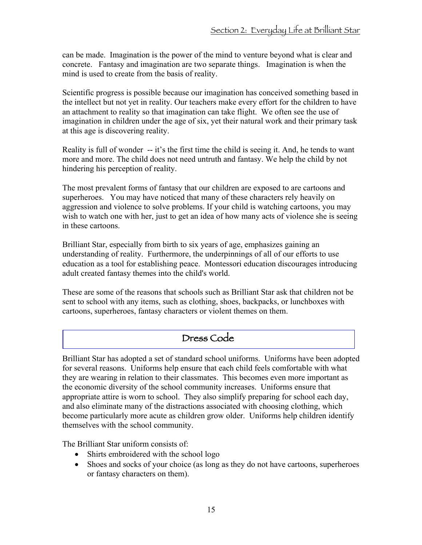can be made. Imagination is the power of the mind to venture beyond what is clear and concrete. Fantasy and imagination are two separate things. Imagination is when the mind is used to create from the basis of reality.

Scientific progress is possible because our imagination has conceived something based in the intellect but not yet in reality. Our teachers make every effort for the children to have an attachment to reality so that imagination can take flight. We often see the use of imagination in children under the age of six, yet their natural work and their primary task at this age is discovering reality.

Reality is full of wonder -- it's the first time the child is seeing it. And, he tends to want more and more. The child does not need untruth and fantasy. We help the child by not hindering his perception of reality.

The most prevalent forms of fantasy that our children are exposed to are cartoons and superheroes. You may have noticed that many of these characters rely heavily on aggression and violence to solve problems. If your child is watching cartoons, you may wish to watch one with her, just to get an idea of how many acts of violence she is seeing in these cartoons.

Brilliant Star, especially from birth to six years of age, emphasizes gaining an understanding of reality. Furthermore, the underpinnings of all of our efforts to use education as a tool for establishing peace. Montessori education discourages introducing adult created fantasy themes into the child's world.

These are some of the reasons that schools such as Brilliant Star ask that children not be sent to school with any items, such as clothing, shoes, backpacks, or lunchboxes with cartoons, superheroes, fantasy characters or violent themes on them.

### Dress Code

Brilliant Star has adopted a set of standard school uniforms. Uniforms have been adopted for several reasons. Uniforms help ensure that each child feels comfortable with what they are wearing in relation to their classmates. This becomes even more important as the economic diversity of the school community increases. Uniforms ensure that appropriate attire is worn to school. They also simplify preparing for school each day, and also eliminate many of the distractions associated with choosing clothing, which become particularly more acute as children grow older. Uniforms help children identify themselves with the school community.

The Brilliant Star uniform consists of:

- Shirts embroidered with the school logo
- Shoes and socks of your choice (as long as they do not have cartoons, superheroes or fantasy characters on them).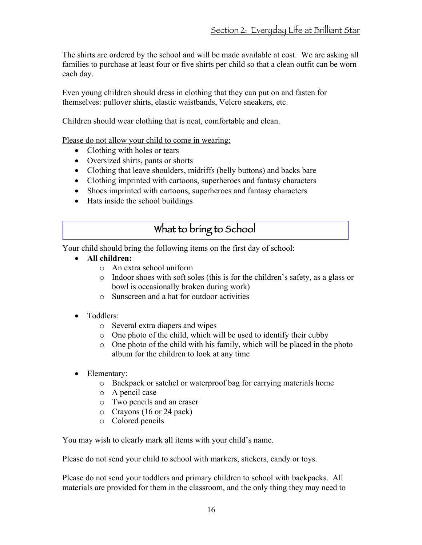The shirts are ordered by the school and will be made available at cost. We are asking all families to purchase at least four or five shirts per child so that a clean outfit can be worn each day.

Even young children should dress in clothing that they can put on and fasten for themselves: pullover shirts, elastic waistbands, Velcro sneakers, etc.

Children should wear clothing that is neat, comfortable and clean.

Please do not allow your child to come in wearing:

- Clothing with holes or tears
- Oversized shirts, pants or shorts
- Clothing that leave shoulders, midriffs (belly buttons) and backs bare
- Clothing imprinted with cartoons, superheroes and fantasy characters
- Shoes imprinted with cartoons, superheroes and fantasy characters
- Hats inside the school buildings

### What to bring to School

Your child should bring the following items on the first day of school:

- **All children:** 
	- o An extra school uniform
	- o Indoor shoes with soft soles (this is for the children's safety, as a glass or bowl is occasionally broken during work)
	- o Sunscreen and a hat for outdoor activities
- Toddlers:
	- o Several extra diapers and wipes
	- o One photo of the child, which will be used to identify their cubby
	- o One photo of the child with his family, which will be placed in the photo album for the children to look at any time
- Elementary:
	- o Backpack or satchel or waterproof bag for carrying materials home
	- o A pencil case
	- o Two pencils and an eraser
	- o Crayons (16 or 24 pack)
	- o Colored pencils

You may wish to clearly mark all items with your child's name.

Please do not send your child to school with markers, stickers, candy or toys.

Please do not send your toddlers and primary children to school with backpacks. All materials are provided for them in the classroom, and the only thing they may need to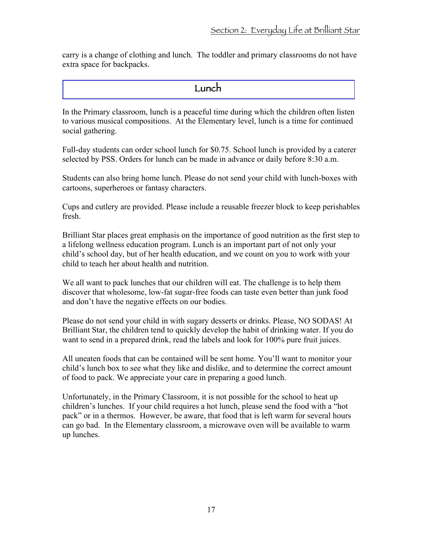carry is a change of clothing and lunch. The toddler and primary classrooms do not have extra space for backpacks.

#### Lunch

In the Primary classroom, lunch is a peaceful time during which the children often listen to various musical compositions. At the Elementary level, lunch is a time for continued social gathering.

Full-day students can order school lunch for \$0.75. School lunch is provided by a caterer selected by PSS. Orders for lunch can be made in advance or daily before 8:30 a.m.

Students can also bring home lunch. Please do not send your child with lunch-boxes with cartoons, superheroes or fantasy characters.

Cups and cutlery are provided. Please include a reusable freezer block to keep perishables fresh.

Brilliant Star places great emphasis on the importance of good nutrition as the first step to a lifelong wellness education program. Lunch is an important part of not only your child's school day, but of her health education, and we count on you to work with your child to teach her about health and nutrition.

We all want to pack lunches that our children will eat. The challenge is to help them discover that wholesome, low-fat sugar-free foods can taste even better than junk food and don't have the negative effects on our bodies.

Please do not send your child in with sugary desserts or drinks. Please, NO SODAS! At Brilliant Star, the children tend to quickly develop the habit of drinking water. If you do want to send in a prepared drink, read the labels and look for 100% pure fruit juices.

All uneaten foods that can be contained will be sent home. You'll want to monitor your child's lunch box to see what they like and dislike, and to determine the correct amount of food to pack. We appreciate your care in preparing a good lunch.

Unfortunately, in the Primary Classroom, it is not possible for the school to heat up children's lunches. If your child requires a hot lunch, please send the food with a "hot pack" or in a thermos. However, be aware, that food that is left warm for several hours can go bad. In the Elementary classroom, a microwave oven will be available to warm up lunches.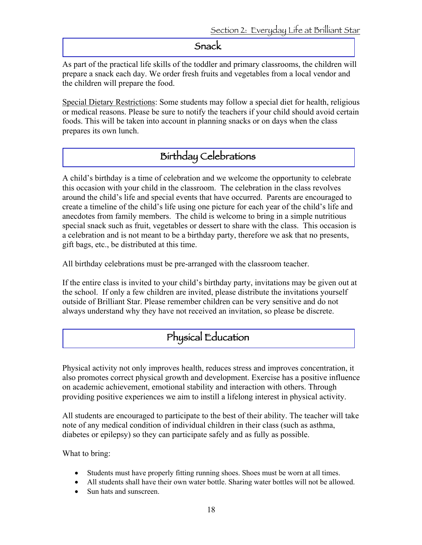#### Snack

As part of the practical life skills of the toddler and primary classrooms, the children will prepare a snack each day. We order fresh fruits and vegetables from a local vendor and the children will prepare the food.

Special Dietary Restrictions: Some students may follow a special diet for health, religious or medical reasons. Please be sure to notify the teachers if your child should avoid certain foods. This will be taken into account in planning snacks or on days when the class prepares its own lunch.

### Birthday Celebrations

A child's birthday is a time of celebration and we welcome the opportunity to celebrate this occasion with your child in the classroom. The celebration in the class revolves around the child's life and special events that have occurred. Parents are encouraged to create a timeline of the child's life using one picture for each year of the child's life and anecdotes from family members. The child is welcome to bring in a simple nutritious special snack such as fruit, vegetables or dessert to share with the class. This occasion is a celebration and is not meant to be a birthday party, therefore we ask that no presents, gift bags, etc., be distributed at this time.

All birthday celebrations must be pre-arranged with the classroom teacher.

If the entire class is invited to your child's birthday party, invitations may be given out at the school. If only a few children are invited, please distribute the invitations yourself outside of Brilliant Star. Please remember children can be very sensitive and do not always understand why they have not received an invitation, so please be discrete.

### Physical Education

Physical activity not only improves health, reduces stress and improves concentration, it also promotes correct physical growth and development. Exercise has a positive influence on academic achievement, emotional stability and interaction with others. Through providing positive experiences we aim to instill a lifelong interest in physical activity.

All students are encouraged to participate to the best of their ability. The teacher will take note of any medical condition of individual children in their class (such as asthma, diabetes or epilepsy) so they can participate safely and as fully as possible.

What to bring:

- Students must have properly fitting running shoes. Shoes must be worn at all times.
- All students shall have their own water bottle. Sharing water bottles will not be allowed.
- Sun hats and sunscreen.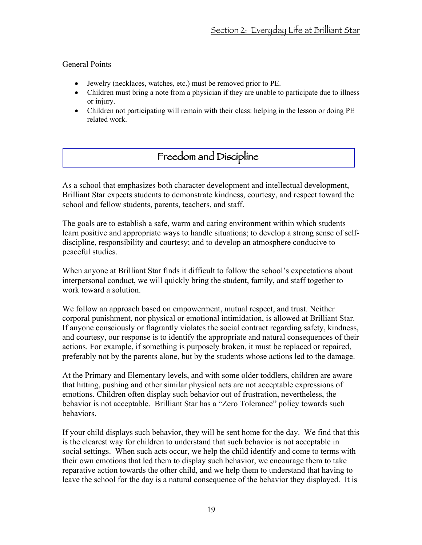#### General Points

- Jewelry (necklaces, watches, etc.) must be removed prior to PE.
- Children must bring a note from a physician if they are unable to participate due to illness or injury.
- Children not participating will remain with their class: helping in the lesson or doing PE related work.

### Freedom and Discipline

As a school that emphasizes both character development and intellectual development, Brilliant Star expects students to demonstrate kindness, courtesy, and respect toward the school and fellow students, parents, teachers, and staff.

The goals are to establish a safe, warm and caring environment within which students learn positive and appropriate ways to handle situations; to develop a strong sense of selfdiscipline, responsibility and courtesy; and to develop an atmosphere conducive to peaceful studies.

When anyone at Brilliant Star finds it difficult to follow the school's expectations about interpersonal conduct, we will quickly bring the student, family, and staff together to work toward a solution.

We follow an approach based on empowerment, mutual respect, and trust. Neither corporal punishment, nor physical or emotional intimidation, is allowed at Brilliant Star. If anyone consciously or flagrantly violates the social contract regarding safety, kindness, and courtesy, our response is to identify the appropriate and natural consequences of their actions. For example, if something is purposely broken, it must be replaced or repaired, preferably not by the parents alone, but by the students whose actions led to the damage.

At the Primary and Elementary levels, and with some older toddlers, children are aware that hitting, pushing and other similar physical acts are not acceptable expressions of emotions. Children often display such behavior out of frustration, nevertheless, the behavior is not acceptable. Brilliant Star has a "Zero Tolerance" policy towards such behaviors.

If your child displays such behavior, they will be sent home for the day. We find that this is the clearest way for children to understand that such behavior is not acceptable in social settings. When such acts occur, we help the child identify and come to terms with their own emotions that led them to display such behavior, we encourage them to take reparative action towards the other child, and we help them to understand that having to leave the school for the day is a natural consequence of the behavior they displayed. It is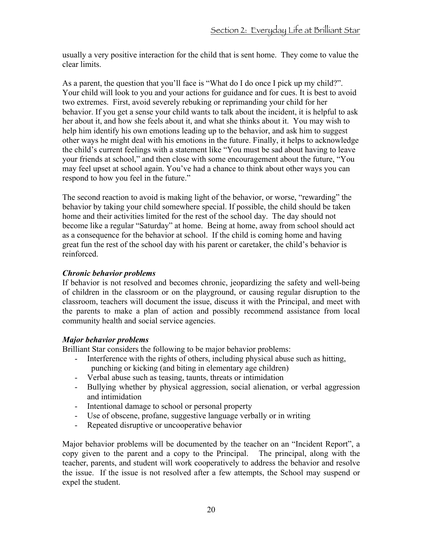usually a very positive interaction for the child that is sent home. They come to value the clear limits.

As a parent, the question that you'll face is "What do I do once I pick up my child?". Your child will look to you and your actions for guidance and for cues. It is best to avoid two extremes. First, avoid severely rebuking or reprimanding your child for her behavior. If you get a sense your child wants to talk about the incident, it is helpful to ask her about it, and how she feels about it, and what she thinks about it. You may wish to help him identify his own emotions leading up to the behavior, and ask him to suggest other ways he might deal with his emotions in the future. Finally, it helps to acknowledge the child's current feelings with a statement like "You must be sad about having to leave your friends at school," and then close with some encouragement about the future, "You may feel upset at school again. You've had a chance to think about other ways you can respond to how you feel in the future."

The second reaction to avoid is making light of the behavior, or worse, "rewarding" the behavior by taking your child somewhere special. If possible, the child should be taken home and their activities limited for the rest of the school day. The day should not become like a regular "Saturday" at home. Being at home, away from school should act as a consequence for the behavior at school. If the child is coming home and having great fun the rest of the school day with his parent or caretaker, the child's behavior is reinforced.

#### *Chronic behavior problems*

If behavior is not resolved and becomes chronic, jeopardizing the safety and well-being of children in the classroom or on the playground, or causing regular disruption to the classroom, teachers will document the issue, discuss it with the Principal, and meet with the parents to make a plan of action and possibly recommend assistance from local community health and social service agencies.

#### *Major behavior problems*

Brilliant Star considers the following to be major behavior problems:

- Interference with the rights of others, including physical abuse such as hitting, punching or kicking (and biting in elementary age children)
- Verbal abuse such as teasing, taunts, threats or intimidation
- Bullying whether by physical aggression, social alienation, or verbal aggression and intimidation
- Intentional damage to school or personal property
- Use of obscene, profane, suggestive language verbally or in writing
- Repeated disruptive or uncooperative behavior

Major behavior problems will be documented by the teacher on an "Incident Report", a copy given to the parent and a copy to the Principal. The principal, along with the teacher, parents, and student will work cooperatively to address the behavior and resolve the issue. If the issue is not resolved after a few attempts, the School may suspend or expel the student.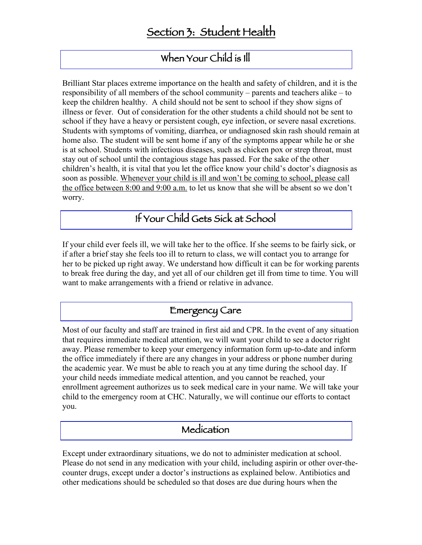### When Your Child is Ill

Brilliant Star places extreme importance on the health and safety of children, and it is the responsibility of all members of the school community – parents and teachers alike – to keep the children healthy. A child should not be sent to school if they show signs of illness or fever. Out of consideration for the other students a child should not be sent to school if they have a heavy or persistent cough, eye infection, or severe nasal excretions. Students with symptoms of vomiting, diarrhea, or undiagnosed skin rash should remain at home also. The student will be sent home if any of the symptoms appear while he or she is at school. Students with infectious diseases, such as chicken pox or strep throat, must stay out of school until the contagious stage has passed. For the sake of the other children's health, it is vital that you let the office know your child's doctor's diagnosis as soon as possible. Whenever your child is ill and won't be coming to school, please call the office between 8:00 and 9:00 a.m. to let us know that she will be absent so we don't worry.

### If Your Child Gets Sick at School

If your child ever feels ill, we will take her to the office. If she seems to be fairly sick, or if after a brief stay she feels too ill to return to class, we will contact you to arrange for her to be picked up right away. We understand how difficult it can be for working parents to break free during the day, and yet all of our children get ill from time to time. You will want to make arrangements with a friend or relative in advance.

### Emergency Care

Most of our faculty and staff are trained in first aid and CPR. In the event of any situation that requires immediate medical attention, we will want your child to see a doctor right away. Please remember to keep your emergency information form up-to-date and inform the office immediately if there are any changes in your address or phone number during the academic year. We must be able to reach you at any time during the school day. If your child needs immediate medical attention, and you cannot be reached, your enrollment agreement authorizes us to seek medical care in your name. We will take your child to the emergency room at CHC. Naturally, we will continue our efforts to contact you.

### Medication

Except under extraordinary situations, we do not to administer medication at school. Please do not send in any medication with your child, including aspirin or other over-thecounter drugs, except under a doctor's instructions as explained below. Antibiotics and other medications should be scheduled so that doses are due during hours when the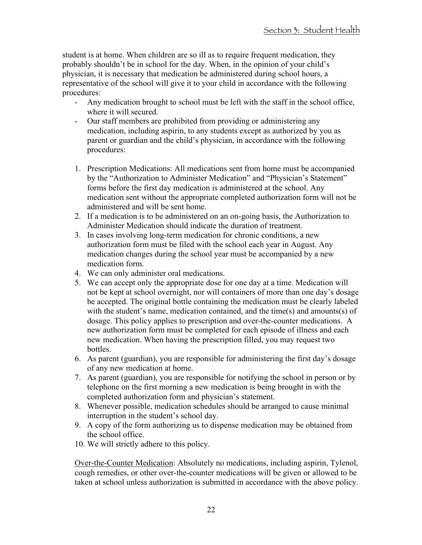student is at home. When children are so ill as to require frequent medication, they probably shouldn't be in school for the day. When, in the opinion of your child's physician, it is necessary that medication be administered during school hours, a representative of the school will give it to your child in accordance with the following procedures:

- Any medication brought to school must be left with the staff in the school office, where it will secured.
- Our staff members are prohibited from providing or administering any medication, including aspirin, to any students except as authorized by you as parent or guardian and the child's physician, in accordance with the following procedures:
- 1. Prescription Medications: All medications sent from home must be accompanied by the "Authorization to Administer Medication" and "Physician's Statement" forms before the first day medication is administered at the school. Any medication sent without the appropriate completed authorization form will not be administered and will be sent home.
- 2. If a medication is to be administered on an on-going basis, the Authorization to Administer Medication should indicate the duration of treatment.
- 3. In cases involving long-term medication for chronic conditions, a new authorization form must be filed with the school each year in August. Any medication changes during the school year must be accompanied by a new medication form.
- 4. We can only administer oral medications.
- 5. We can accept only the appropriate dose for one day at a time. Medication will not be kept at school overnight, nor will containers of more than one day's dosage be accepted. The original bottle containing the medication must be clearly labeled with the student's name, medication contained, and the time(s) and amounts(s) of dosage. This policy applies to prescription and over-the-counter medications. A new authorization form must be completed for each episode of illness and each new medication. When having the prescription filled, you may request two bottles.
- 6. As parent (guardian), you are responsible for administering the first day's dosage of any new medication at home.
- 7. As parent (guardian), you are responsible for notifying the school in person or by telephone on the first morning a new medication is being brought in with the completed authorization form and physician's statement.
- 8. Whenever possible, medication schedules should be arranged to cause minimal interruption in the student's school day.
- 9. A copy of the form authorizing us to dispense medication may be obtained from the school office.
- 10. We will strictly adhere to this policy.

Over-the-Counter Medication: Absolutely no medications, including aspirin, Tylenol, cough remedies, or other over-the-counter medications will be given or allowed to be taken at school unless authorization is submitted in accordance with the above policy.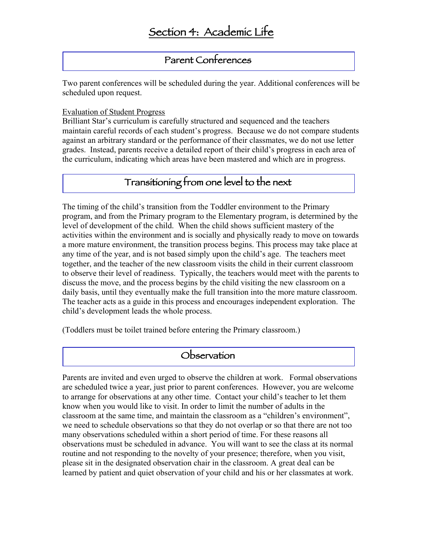### Parent Conferences

Two parent conferences will be scheduled during the year. Additional conferences will be scheduled upon request.

#### Evaluation of Student Progress

Brilliant Star's curriculum is carefully structured and sequenced and the teachers maintain careful records of each student's progress. Because we do not compare students against an arbitrary standard or the performance of their classmates, we do not use letter grades. Instead, parents receive a detailed report of their child's progress in each area of the curriculum, indicating which areas have been mastered and which are in progress.

### Transitioning from one level to the next

The timing of the child's transition from the Toddler environment to the Primary program, and from the Primary program to the Elementary program, is determined by the level of development of the child. When the child shows sufficient mastery of the activities within the environment and is socially and physically ready to move on towards a more mature environment, the transition process begins. This process may take place at any time of the year, and is not based simply upon the child's age. The teachers meet together, and the teacher of the new classroom visits the child in their current classroom to observe their level of readiness. Typically, the teachers would meet with the parents to discuss the move, and the process begins by the child visiting the new classroom on a daily basis, until they eventually make the full transition into the more mature classroom. The teacher acts as a guide in this process and encourages independent exploration. The child's development leads the whole process.

(Toddlers must be toilet trained before entering the Primary classroom.)

#### **Observation**

Parents are invited and even urged to observe the children at work. Formal observations are scheduled twice a year, just prior to parent conferences. However, you are welcome to arrange for observations at any other time. Contact your child's teacher to let them know when you would like to visit. In order to limit the number of adults in the classroom at the same time, and maintain the classroom as a "children's environment", we need to schedule observations so that they do not overlap or so that there are not too many observations scheduled within a short period of time. For these reasons all observations must be scheduled in advance. You will want to see the class at its normal routine and not responding to the novelty of your presence; therefore, when you visit, please sit in the designated observation chair in the classroom. A great deal can be learned by patient and quiet observation of your child and his or her classmates at work.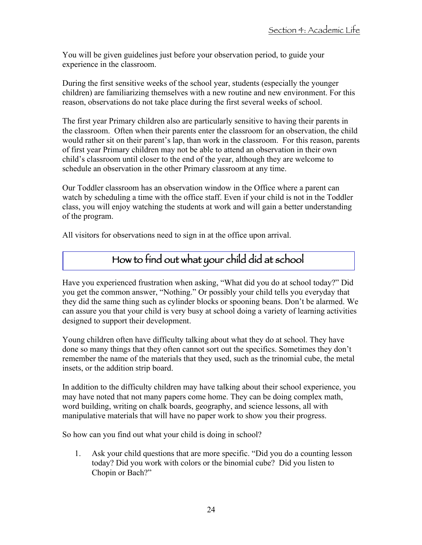You will be given guidelines just before your observation period, to guide your experience in the classroom.

During the first sensitive weeks of the school year, students (especially the younger children) are familiarizing themselves with a new routine and new environment. For this reason, observations do not take place during the first several weeks of school.

The first year Primary children also are particularly sensitive to having their parents in the classroom. Often when their parents enter the classroom for an observation, the child would rather sit on their parent's lap, than work in the classroom. For this reason, parents of first year Primary children may not be able to attend an observation in their own child's classroom until closer to the end of the year, although they are welcome to schedule an observation in the other Primary classroom at any time.

Our Toddler classroom has an observation window in the Office where a parent can watch by scheduling a time with the office staff. Even if your child is not in the Toddler class, you will enjoy watching the students at work and will gain a better understanding of the program.

All visitors for observations need to sign in at the office upon arrival.

### How to find out what your child did at school

Have you experienced frustration when asking, "What did you do at school today?" Did you get the common answer, "Nothing." Or possibly your child tells you everyday that they did the same thing such as cylinder blocks or spooning beans. Don't be alarmed. We can assure you that your child is very busy at school doing a variety of learning activities designed to support their development.

Young children often have difficulty talking about what they do at school. They have done so many things that they often cannot sort out the specifics. Sometimes they don't remember the name of the materials that they used, such as the trinomial cube, the metal insets, or the addition strip board.

In addition to the difficulty children may have talking about their school experience, you may have noted that not many papers come home. They can be doing complex math, word building, writing on chalk boards, geography, and science lessons, all with manipulative materials that will have no paper work to show you their progress.

So how can you find out what your child is doing in school?

1. Ask your child questions that are more specific. "Did you do a counting lesson today? Did you work with colors or the binomial cube? Did you listen to Chopin or Bach?"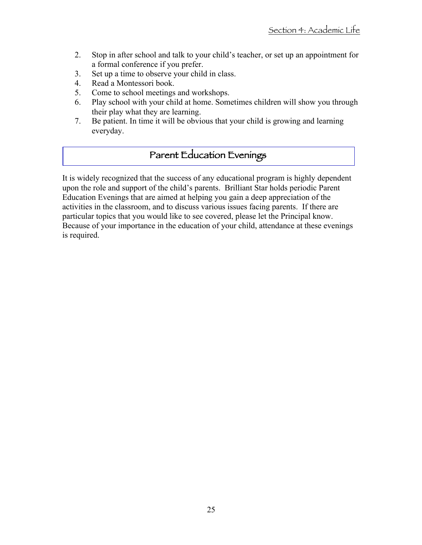- 2. Stop in after school and talk to your child's teacher, or set up an appointment for a formal conference if you prefer.
- 3. Set up a time to observe your child in class.
- 4. Read a Montessori book.
- 5. Come to school meetings and workshops.
- 6. Play school with your child at home. Sometimes children will show you through their play what they are learning.
- 7. Be patient. In time it will be obvious that your child is growing and learning everyday.

### Parent Education Evenings

It is widely recognized that the success of any educational program is highly dependent upon the role and support of the child's parents. Brilliant Star holds periodic Parent Education Evenings that are aimed at helping you gain a deep appreciation of the activities in the classroom, and to discuss various issues facing parents. If there are particular topics that you would like to see covered, please let the Principal know. Because of your importance in the education of your child, attendance at these evenings is required.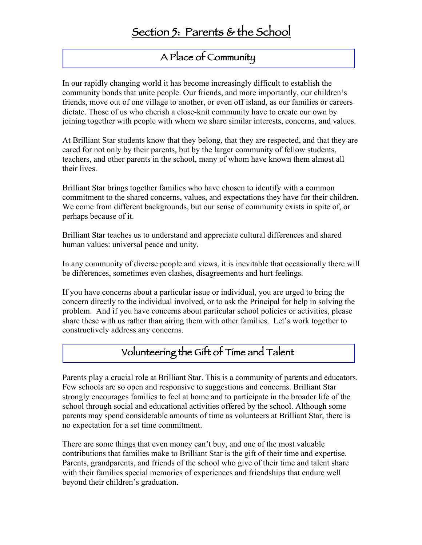### A Place of Community

In our rapidly changing world it has become increasingly difficult to establish the community bonds that unite people. Our friends, and more importantly, our children's friends, move out of one village to another, or even off island, as our families or careers dictate. Those of us who cherish a close-knit community have to create our own by joining together with people with whom we share similar interests, concerns, and values.

At Brilliant Star students know that they belong, that they are respected, and that they are cared for not only by their parents, but by the larger community of fellow students, teachers, and other parents in the school, many of whom have known them almost all their lives.

Brilliant Star brings together families who have chosen to identify with a common commitment to the shared concerns, values, and expectations they have for their children. We come from different backgrounds, but our sense of community exists in spite of, or perhaps because of it.

Brilliant Star teaches us to understand and appreciate cultural differences and shared human values: universal peace and unity.

In any community of diverse people and views, it is inevitable that occasionally there will be differences, sometimes even clashes, disagreements and hurt feelings.

If you have concerns about a particular issue or individual, you are urged to bring the concern directly to the individual involved, or to ask the Principal for help in solving the problem. And if you have concerns about particular school policies or activities, please share these with us rather than airing them with other families. Let's work together to constructively address any concerns.

### Volunteering the Gift of Time and Talent

Parents play a crucial role at Brilliant Star. This is a community of parents and educators. Few schools are so open and responsive to suggestions and concerns. Brilliant Star strongly encourages families to feel at home and to participate in the broader life of the school through social and educational activities offered by the school. Although some parents may spend considerable amounts of time as volunteers at Brilliant Star, there is no expectation for a set time commitment.

There are some things that even money can't buy, and one of the most valuable contributions that families make to Brilliant Star is the gift of their time and expertise. Parents, grandparents, and friends of the school who give of their time and talent share with their families special memories of experiences and friendships that endure well beyond their children's graduation.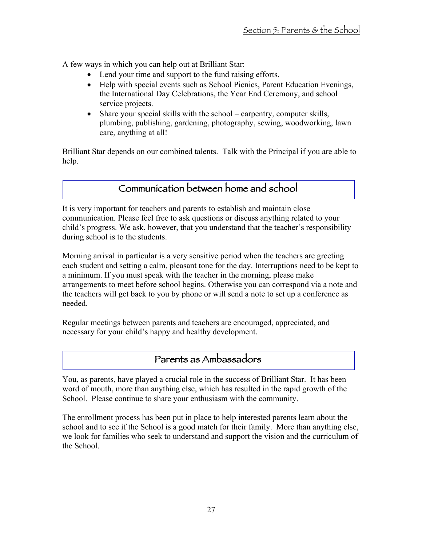A few ways in which you can help out at Brilliant Star:

- Lend your time and support to the fund raising efforts.
- Help with special events such as School Picnics, Parent Education Evenings, the International Day Celebrations, the Year End Ceremony, and school service projects.
- Share your special skills with the school carpentry, computer skills, plumbing, publishing, gardening, photography, sewing, woodworking, lawn care, anything at all!

Brilliant Star depends on our combined talents. Talk with the Principal if you are able to help.

### Communication between home and school

It is very important for teachers and parents to establish and maintain close communication. Please feel free to ask questions or discuss anything related to your child's progress. We ask, however, that you understand that the teacher's responsibility during school is to the students.

Morning arrival in particular is a very sensitive period when the teachers are greeting each student and setting a calm, pleasant tone for the day. Interruptions need to be kept to a minimum. If you must speak with the teacher in the morning, please make arrangements to meet before school begins. Otherwise you can correspond via a note and the teachers will get back to you by phone or will send a note to set up a conference as needed.

Regular meetings between parents and teachers are encouraged, appreciated, and necessary for your child's happy and healthy development.

### Parents as Ambassadors

You, as parents, have played a crucial role in the success of Brilliant Star. It has been word of mouth, more than anything else, which has resulted in the rapid growth of the School. Please continue to share your enthusiasm with the community.

The enrollment process has been put in place to help interested parents learn about the school and to see if the School is a good match for their family. More than anything else, we look for families who seek to understand and support the vision and the curriculum of the School.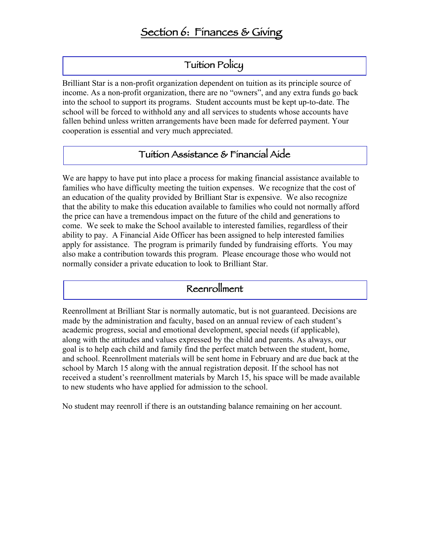### Tuition Policy

Brilliant Star is a non-profit organization dependent on tuition as its principle source of income. As a non-profit organization, there are no "owners", and any extra funds go back into the school to support its programs. Student accounts must be kept up-to-date. The school will be forced to withhold any and all services to students whose accounts have fallen behind unless written arrangements have been made for deferred payment. Your cooperation is essential and very much appreciated.

#### Tuition Assistance & Financial Aide

We are happy to have put into place a process for making financial assistance available to families who have difficulty meeting the tuition expenses. We recognize that the cost of an education of the quality provided by Brilliant Star is expensive. We also recognize that the ability to make this education available to families who could not normally afford the price can have a tremendous impact on the future of the child and generations to come. We seek to make the School available to interested families, regardless of their ability to pay. A Financial Aide Officer has been assigned to help interested families apply for assistance. The program is primarily funded by fundraising efforts. You may also make a contribution towards this program. Please encourage those who would not normally consider a private education to look to Brilliant Star.

### Reenrollment

Reenrollment at Brilliant Star is normally automatic, but is not guaranteed. Decisions are made by the administration and faculty, based on an annual review of each student's academic progress, social and emotional development, special needs (if applicable), along with the attitudes and values expressed by the child and parents. As always, our goal is to help each child and family find the perfect match between the student, home, and school. Reenrollment materials will be sent home in February and are due back at the school by March 15 along with the annual registration deposit. If the school has not received a student's reenrollment materials by March 15, his space will be made available to new students who have applied for admission to the school.

No student may reenroll if there is an outstanding balance remaining on her account.